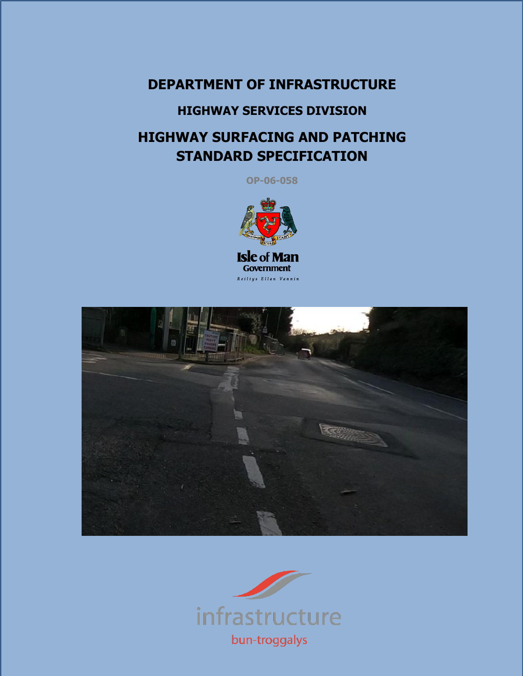# **DEPARTMENT OF INFRASTRUCTURE**

# **HIGHWAY SERVICES DIVISION**

# **HIGHWAY SURFACING AND PATCHING STANDARD SPECIFICATION**

**OP-06-058**





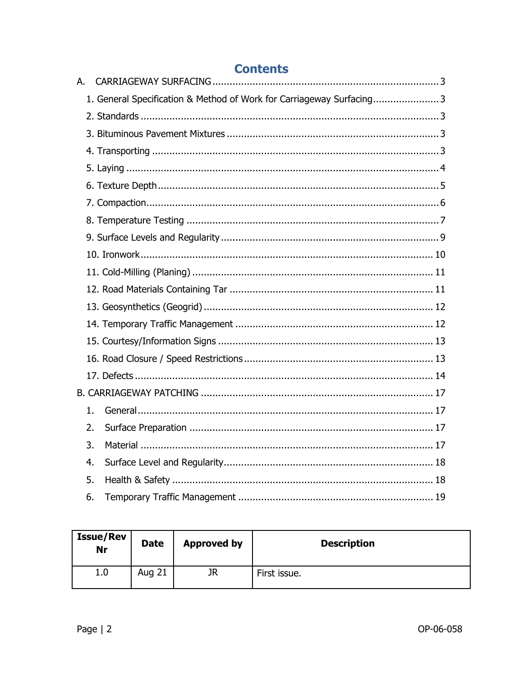|    | <b>Contents</b>                                                      |  |
|----|----------------------------------------------------------------------|--|
| А. |                                                                      |  |
|    | 1. General Specification & Method of Work for Carriageway Surfacing3 |  |
|    |                                                                      |  |
|    |                                                                      |  |
|    |                                                                      |  |
|    |                                                                      |  |
|    |                                                                      |  |
|    |                                                                      |  |
|    |                                                                      |  |
|    |                                                                      |  |
|    |                                                                      |  |
|    |                                                                      |  |
|    |                                                                      |  |
|    |                                                                      |  |
|    |                                                                      |  |
|    |                                                                      |  |
|    |                                                                      |  |
|    |                                                                      |  |
|    |                                                                      |  |
| 1. |                                                                      |  |
| 2. |                                                                      |  |
| 3. |                                                                      |  |
| 4. |                                                                      |  |
| 5. |                                                                      |  |
| 6. |                                                                      |  |

| <b>Issue/Rev</b><br>Nr | <b>Date</b>   | <b>Approved by</b> | <b>Description</b> |
|------------------------|---------------|--------------------|--------------------|
| 1.0                    | <b>Aug 21</b> | JR                 | First issue.       |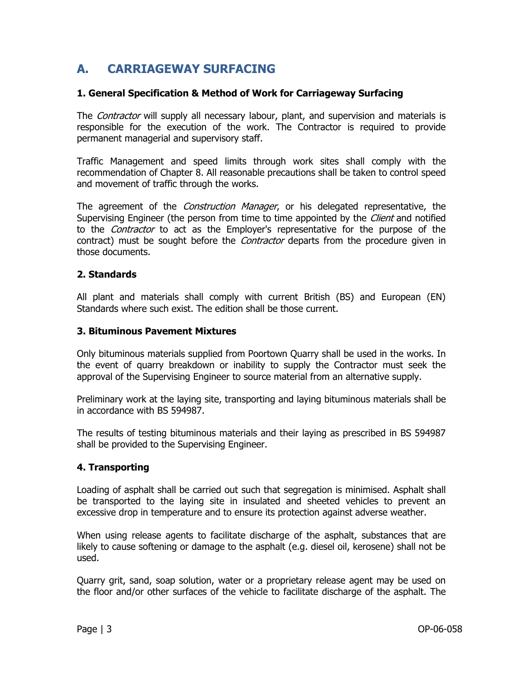# <span id="page-2-0"></span>**A. CARRIAGEWAY SURFACING**

#### <span id="page-2-1"></span>**1. General Specification & Method of Work for Carriageway Surfacing**

The *Contractor* will supply all necessary labour, plant, and supervision and materials is responsible for the execution of the work. The Contractor is required to provide permanent managerial and supervisory staff.

Traffic Management and speed limits through work sites shall comply with the recommendation of Chapter 8. All reasonable precautions shall be taken to control speed and movement of traffic through the works.

The agreement of the *Construction Manager*, or his delegated representative, the Supervising Engineer (the person from time to time appointed by the *Client* and notified to the *Contractor* to act as the Employer's representative for the purpose of the contract) must be sought before the *Contractor* departs from the procedure given in those documents.

#### <span id="page-2-2"></span>**2. Standards**

All plant and materials shall comply with current British (BS) and European (EN) Standards where such exist. The edition shall be those current.

#### <span id="page-2-3"></span>**3. Bituminous Pavement Mixtures**

Only bituminous materials supplied from Poortown Quarry shall be used in the works. In the event of quarry breakdown or inability to supply the Contractor must seek the approval of the Supervising Engineer to source material from an alternative supply.

Preliminary work at the laying site, transporting and laying bituminous materials shall be in accordance with BS 594987.

The results of testing bituminous materials and their laying as prescribed in BS 594987 shall be provided to the Supervising Engineer.

# <span id="page-2-4"></span>**4. Transporting**

Loading of asphalt shall be carried out such that segregation is minimised. Asphalt shall be transported to the laying site in insulated and sheeted vehicles to prevent an excessive drop in temperature and to ensure its protection against adverse weather.

When using release agents to facilitate discharge of the asphalt, substances that are likely to cause softening or damage to the asphalt (e.g. diesel oil, kerosene) shall not be used.

Quarry grit, sand, soap solution, water or a proprietary release agent may be used on the floor and/or other surfaces of the vehicle to facilitate discharge of the asphalt. The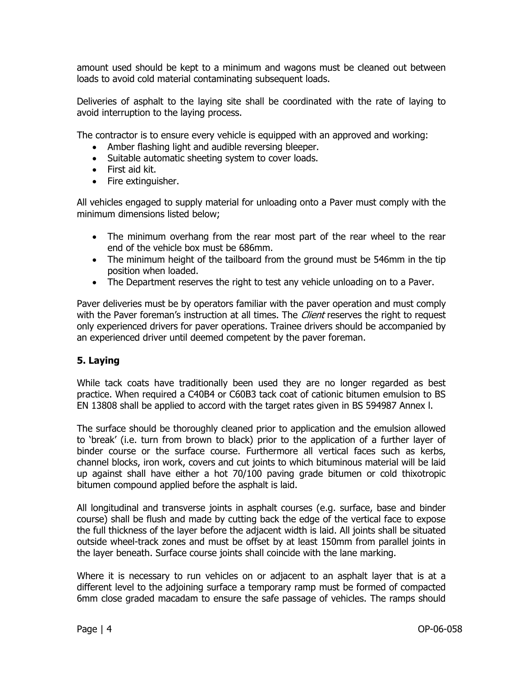amount used should be kept to a minimum and wagons must be cleaned out between loads to avoid cold material contaminating subsequent loads.

Deliveries of asphalt to the laying site shall be coordinated with the rate of laying to avoid interruption to the laying process.

The contractor is to ensure every vehicle is equipped with an approved and working:

- Amber flashing light and audible reversing bleeper.
- Suitable automatic sheeting system to cover loads.
- First aid kit.
- Fire extinguisher.

All vehicles engaged to supply material for unloading onto a Paver must comply with the minimum dimensions listed below;

- The minimum overhang from the rear most part of the rear wheel to the rear end of the vehicle box must be 686mm.
- The minimum height of the tailboard from the ground must be 546mm in the tip position when loaded.
- The Department reserves the right to test any vehicle unloading on to a Paver.

Paver deliveries must be by operators familiar with the paver operation and must comply with the Paver foreman's instruction at all times. The *Client* reserves the right to request only experienced drivers for paver operations. Trainee drivers should be accompanied by an experienced driver until deemed competent by the paver foreman.

# <span id="page-3-0"></span>**5. Laying**

While tack coats have traditionally been used they are no longer regarded as best practice. When required a C40B4 or C60B3 tack coat of cationic bitumen emulsion to BS EN 13808 shall be applied to accord with the target rates given in BS 594987 Annex l.

The surface should be thoroughly cleaned prior to application and the emulsion allowed to 'break' (i.e. turn from brown to black) prior to the application of a further layer of binder course or the surface course. Furthermore all vertical faces such as kerbs, channel blocks, iron work, covers and cut joints to which bituminous material will be laid up against shall have either a hot 70/100 paving grade bitumen or cold thixotropic bitumen compound applied before the asphalt is laid.

All longitudinal and transverse joints in asphalt courses (e.g. surface, base and binder course) shall be flush and made by cutting back the edge of the vertical face to expose the full thickness of the layer before the adjacent width is laid. All joints shall be situated outside wheel-track zones and must be offset by at least 150mm from parallel joints in the layer beneath. Surface course joints shall coincide with the lane marking.

Where it is necessary to run vehicles on or adjacent to an asphalt layer that is at a different level to the adjoining surface a temporary ramp must be formed of compacted 6mm close graded macadam to ensure the safe passage of vehicles. The ramps should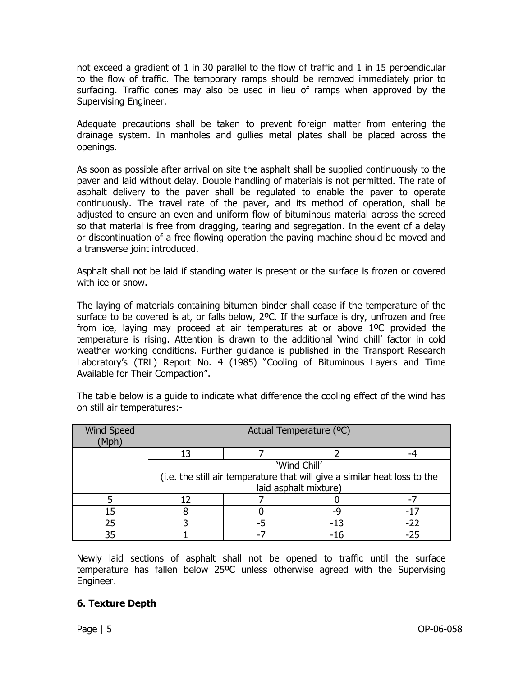not exceed a gradient of 1 in 30 parallel to the flow of traffic and 1 in 15 perpendicular to the flow of traffic. The temporary ramps should be removed immediately prior to surfacing. Traffic cones may also be used in lieu of ramps when approved by the Supervising Engineer.

Adequate precautions shall be taken to prevent foreign matter from entering the drainage system. In manholes and gullies metal plates shall be placed across the openings.

As soon as possible after arrival on site the asphalt shall be supplied continuously to the paver and laid without delay. Double handling of materials is not permitted. The rate of asphalt delivery to the paver shall be regulated to enable the paver to operate continuously. The travel rate of the paver, and its method of operation, shall be adjusted to ensure an even and uniform flow of bituminous material across the screed so that material is free from dragging, tearing and segregation. In the event of a delay or discontinuation of a free flowing operation the paving machine should be moved and a transverse joint introduced.

Asphalt shall not be laid if standing water is present or the surface is frozen or covered with ice or snow.

The laying of materials containing bitumen binder shall cease if the temperature of the surface to be covered is at, or falls below, 2ºC. If the surface is dry, unfrozen and free from ice, laying may proceed at air temperatures at or above 1ºC provided the temperature is rising. Attention is drawn to the additional 'wind chill' factor in cold weather working conditions. Further guidance is published in the Transport Research Laboratory's (TRL) Report No. 4 (1985) "Cooling of Bituminous Layers and Time Available for Their Compaction".

The table below is a guide to indicate what difference the cooling effect of the wind has on still air temperatures:-

| <b>Wind Speed</b><br>(Mph | Actual Temperature (°C)                                                   |  |              |     |  |  |  |
|---------------------------|---------------------------------------------------------------------------|--|--------------|-----|--|--|--|
|                           | 13                                                                        |  |              |     |  |  |  |
|                           |                                                                           |  | 'Wind Chill' |     |  |  |  |
|                           | (i.e. the still air temperature that will give a similar heat loss to the |  |              |     |  |  |  |
|                           | laid asphalt mixture)                                                     |  |              |     |  |  |  |
|                           |                                                                           |  |              |     |  |  |  |
| 15                        |                                                                           |  | -9           |     |  |  |  |
| 25                        |                                                                           |  | -13          | -22 |  |  |  |
| 35                        |                                                                           |  |              |     |  |  |  |

Newly laid sections of asphalt shall not be opened to traffic until the surface temperature has fallen below 25ºC unless otherwise agreed with the Supervising Engineer.

# <span id="page-4-0"></span>**6. Texture Depth**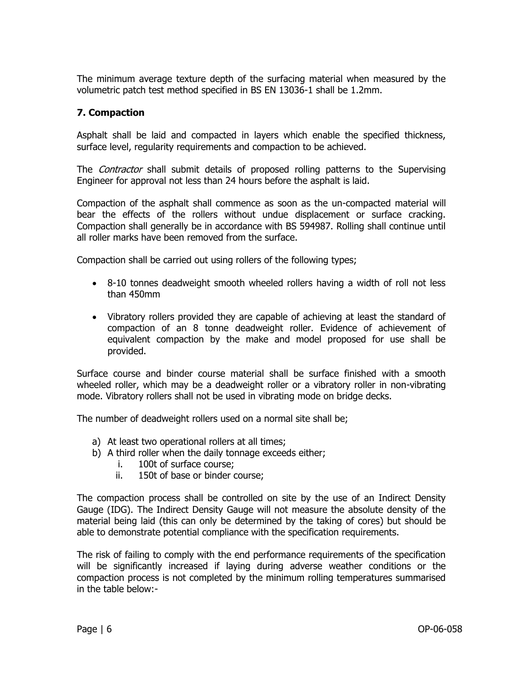The minimum average texture depth of the surfacing material when measured by the volumetric patch test method specified in BS EN 13036-1 shall be 1.2mm.

#### <span id="page-5-0"></span>**7. Compaction**

Asphalt shall be laid and compacted in layers which enable the specified thickness, surface level, regularity requirements and compaction to be achieved.

The *Contractor* shall submit details of proposed rolling patterns to the Supervising Engineer for approval not less than 24 hours before the asphalt is laid.

Compaction of the asphalt shall commence as soon as the un-compacted material will bear the effects of the rollers without undue displacement or surface cracking. Compaction shall generally be in accordance with BS 594987. Rolling shall continue until all roller marks have been removed from the surface.

Compaction shall be carried out using rollers of the following types;

- 8-10 tonnes deadweight smooth wheeled rollers having a width of roll not less than 450mm
- Vibratory rollers provided they are capable of achieving at least the standard of compaction of an 8 tonne deadweight roller. Evidence of achievement of equivalent compaction by the make and model proposed for use shall be provided.

Surface course and binder course material shall be surface finished with a smooth wheeled roller, which may be a deadweight roller or a vibratory roller in non-vibrating mode. Vibratory rollers shall not be used in vibrating mode on bridge decks.

The number of deadweight rollers used on a normal site shall be;

- a) At least two operational rollers at all times;
- b) A third roller when the daily tonnage exceeds either;
	- i. 100t of surface course;
	- ii. 150t of base or binder course;

The compaction process shall be controlled on site by the use of an Indirect Density Gauge (IDG). The Indirect Density Gauge will not measure the absolute density of the material being laid (this can only be determined by the taking of cores) but should be able to demonstrate potential compliance with the specification requirements.

The risk of failing to comply with the end performance requirements of the specification will be significantly increased if laying during adverse weather conditions or the compaction process is not completed by the minimum rolling temperatures summarised in the table below:-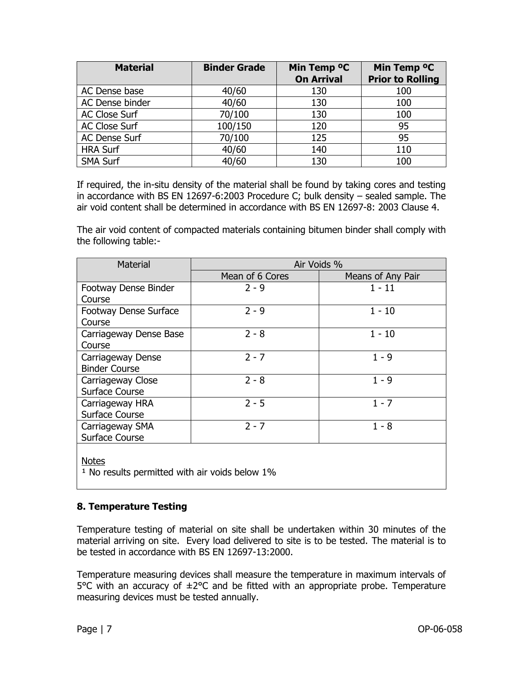| <b>Material</b>      | <b>Binder Grade</b> | Min Temp <sup>o</sup> C<br><b>On Arrival</b> | Min Temp <sup>o</sup> C<br><b>Prior to Rolling</b> |
|----------------------|---------------------|----------------------------------------------|----------------------------------------------------|
| AC Dense base        | 40/60               | 130                                          | 100                                                |
| AC Dense binder      | 40/60               | 130                                          | 100                                                |
| <b>AC Close Surf</b> | 70/100              | 130                                          | 100                                                |
| <b>AC Close Surf</b> | 100/150             | 120                                          | 95                                                 |
| AC Dense Surf        | 70/100              | 125                                          | 95                                                 |
| <b>HRA Surf</b>      | 40/60               | 140                                          | 110                                                |
| <b>SMA Surf</b>      | 40/60               | 130                                          | 100                                                |

If required, the in-situ density of the material shall be found by taking cores and testing in accordance with BS EN 12697-6:2003 Procedure C; bulk density – sealed sample. The air void content shall be determined in accordance with BS EN 12697-8: 2003 Clause 4.

The air void content of compacted materials containing bitumen binder shall comply with the following table:-

| <b>Material</b>              | Air Voids %     |                   |  |  |  |
|------------------------------|-----------------|-------------------|--|--|--|
|                              | Mean of 6 Cores | Means of Any Pair |  |  |  |
| Footway Dense Binder         | 2 - 9           | 1 - 11            |  |  |  |
| Course                       |                 |                   |  |  |  |
| <b>Footway Dense Surface</b> | $2 - 9$         | $1 - 10$          |  |  |  |
| Course                       |                 |                   |  |  |  |
| Carriageway Dense Base       | $2 - 8$         | $1 - 10$          |  |  |  |
| Course                       |                 |                   |  |  |  |
| Carriageway Dense            | $2 - 7$         | $1 - 9$           |  |  |  |
| <b>Binder Course</b>         |                 |                   |  |  |  |
| Carriageway Close            | $2 - 8$         | $1 - 9$           |  |  |  |
| Surface Course               |                 |                   |  |  |  |
| Carriageway HRA              | $2 - 5$         | $1 - 7$           |  |  |  |
| <b>Surface Course</b>        |                 |                   |  |  |  |
| Carriageway SMA              | $2 - 7$         | $1 - 8$           |  |  |  |
| Surface Course               |                 |                   |  |  |  |

Notes

 $1$  No results permitted with air voids below  $1\%$ 

# <span id="page-6-0"></span>**8. Temperature Testing**

Temperature testing of material on site shall be undertaken within 30 minutes of the material arriving on site. Every load delivered to site is to be tested. The material is to be tested in accordance with BS EN 12697-13:2000.

Temperature measuring devices shall measure the temperature in maximum intervals of 5°C with an accuracy of ±2°C and be fitted with an appropriate probe. Temperature measuring devices must be tested annually.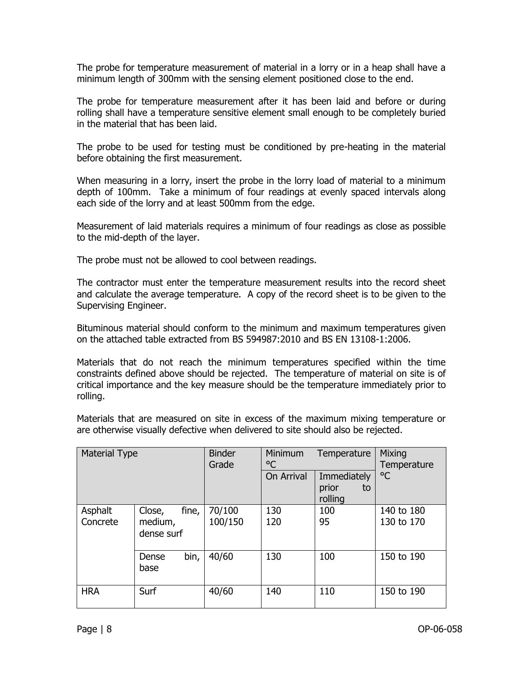The probe for temperature measurement of material in a lorry or in a heap shall have a minimum length of 300mm with the sensing element positioned close to the end.

The probe for temperature measurement after it has been laid and before or during rolling shall have a temperature sensitive element small enough to be completely buried in the material that has been laid.

The probe to be used for testing must be conditioned by pre-heating in the material before obtaining the first measurement.

When measuring in a lorry, insert the probe in the lorry load of material to a minimum depth of 100mm. Take a minimum of four readings at evenly spaced intervals along each side of the lorry and at least 500mm from the edge.

Measurement of laid materials requires a minimum of four readings as close as possible to the mid-depth of the layer.

The probe must not be allowed to cool between readings.

The contractor must enter the temperature measurement results into the record sheet and calculate the average temperature. A copy of the record sheet is to be given to the Supervising Engineer.

Bituminous material should conform to the minimum and maximum temperatures given on the attached table extracted from BS 594987:2010 and BS EN 13108-1:2006.

Materials that do not reach the minimum temperatures specified within the time constraints defined above should be rejected. The temperature of material on site is of critical importance and the key measure should be the temperature immediately prior to rolling.

Materials that are measured on site in excess of the maximum mixing temperature or are otherwise visually defective when delivered to site should also be rejected.

| <b>Material Type</b> |                                          | <b>Binder</b><br>Grade | Minimum<br>Temperature<br>°C |                                       | <b>Mixing</b><br>Temperature |
|----------------------|------------------------------------------|------------------------|------------------------------|---------------------------------------|------------------------------|
|                      |                                          |                        | On Arrival                   | Immediately<br>prior<br>to<br>rolling | °C                           |
| Asphalt<br>Concrete  | fine,<br>Close,<br>medium,<br>dense surf | 70/100<br>100/150      | 130<br>120                   | 100<br>95                             | 140 to 180<br>130 to 170     |
|                      | bin,<br>Dense<br>base                    | 40/60                  | 130                          | 100                                   | 150 to 190                   |
| <b>HRA</b>           | Surf                                     | 40/60                  | 140                          | 110                                   | 150 to 190                   |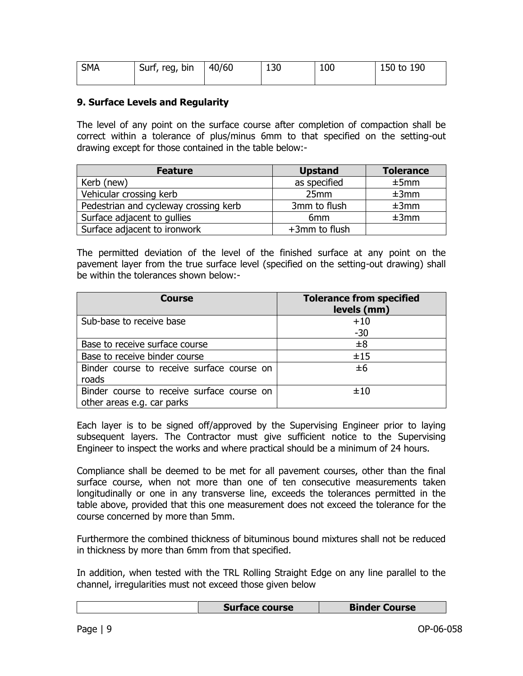| <b>SMA</b> | Surf, reg, bin | 40/60 | 130 | 100 | 150 to 190 |
|------------|----------------|-------|-----|-----|------------|
|            |                |       |     |     |            |

#### <span id="page-8-0"></span>**9. Surface Levels and Regularity**

The level of any point on the surface course after completion of compaction shall be correct within a tolerance of plus/minus 6mm to that specified on the setting-out drawing except for those contained in the table below:-

| <b>Feature</b>                        | <b>Upstand</b>  | <b>Tolerance</b> |
|---------------------------------------|-----------------|------------------|
| Kerb (new)                            | as specified    | ±5mm             |
| Vehicular crossing kerb               | 25mm            | ±3mm             |
| Pedestrian and cycleway crossing kerb | 3mm to flush    | ±3mm             |
| Surface adjacent to gullies           | 6 <sub>mm</sub> | ±3mm             |
| Surface adjacent to ironwork          | +3mm to flush   |                  |

The permitted deviation of the level of the finished surface at any point on the pavement layer from the true surface level (specified on the setting-out drawing) shall be within the tolerances shown below:-

| <b>Course</b>                                                            | <b>Tolerance from specified</b><br>levels (mm) |
|--------------------------------------------------------------------------|------------------------------------------------|
| Sub-base to receive base                                                 | $+10$<br>$-30$                                 |
| Base to receive surface course                                           | ±8                                             |
| Base to receive binder course                                            | ±15                                            |
| Binder course to receive surface course on<br>roads                      | ±6                                             |
| Binder course to receive surface course on<br>other areas e.g. car parks | ±10                                            |

Each layer is to be signed off/approved by the Supervising Engineer prior to laying subsequent layers. The Contractor must give sufficient notice to the Supervising Engineer to inspect the works and where practical should be a minimum of 24 hours.

Compliance shall be deemed to be met for all pavement courses, other than the final surface course, when not more than one of ten consecutive measurements taken longitudinally or one in any transverse line, exceeds the tolerances permitted in the table above, provided that this one measurement does not exceed the tolerance for the course concerned by more than 5mm.

Furthermore the combined thickness of bituminous bound mixtures shall not be reduced in thickness by more than 6mm from that specified.

In addition, when tested with the TRL Rolling Straight Edge on any line parallel to the channel, irregularities must not exceed those given below

| Surface course | <b>Binder Course</b> |
|----------------|----------------------|
|----------------|----------------------|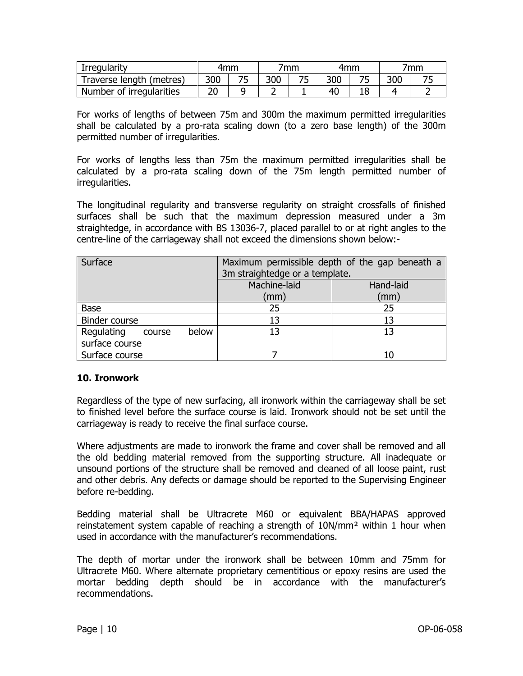| Irregularity             | 4mm |     | 'mm |     | 4mm | 'mm |
|--------------------------|-----|-----|-----|-----|-----|-----|
| Traverse length (metres) | 300 | 300 |     | 300 |     |     |
| Number of irregularities |     |     |     |     |     |     |

For works of lengths of between 75m and 300m the maximum permitted irregularities shall be calculated by a pro-rata scaling down (to a zero base length) of the 300m permitted number of irregularities.

For works of lengths less than 75m the maximum permitted irregularities shall be calculated by a pro-rata scaling down of the 75m length permitted number of irregularities.

The longitudinal regularity and transverse regularity on straight crossfalls of finished surfaces shall be such that the maximum depression measured under a 3m straightedge, in accordance with BS 13036-7, placed parallel to or at right angles to the centre-line of the carriageway shall not exceed the dimensions shown below:-

| Surface                       | Maximum permissible depth of the gap beneath a<br>3m straightedge or a template. |           |  |
|-------------------------------|----------------------------------------------------------------------------------|-----------|--|
|                               | Machine-laid                                                                     | Hand-laid |  |
|                               | (mm)                                                                             | (mm)      |  |
| <b>Base</b>                   | 25                                                                               | 25        |  |
| Binder course                 | 13                                                                               |           |  |
| Regulating<br>below<br>course | 13                                                                               |           |  |
| surface course                |                                                                                  |           |  |
| Surface course                |                                                                                  |           |  |

#### <span id="page-9-0"></span>**10. Ironwork**

Regardless of the type of new surfacing, all ironwork within the carriageway shall be set to finished level before the surface course is laid. Ironwork should not be set until the carriageway is ready to receive the final surface course.

Where adjustments are made to ironwork the frame and cover shall be removed and all the old bedding material removed from the supporting structure. All inadequate or unsound portions of the structure shall be removed and cleaned of all loose paint, rust and other debris. Any defects or damage should be reported to the Supervising Engineer before re-bedding.

Bedding material shall be Ultracrete M60 or equivalent BBA/HAPAS approved reinstatement system capable of reaching a strength of 10N/mm² within 1 hour when used in accordance with the manufacturer's recommendations.

The depth of mortar under the ironwork shall be between 10mm and 75mm for Ultracrete M60. Where alternate proprietary cementitious or epoxy resins are used the mortar bedding depth should be in accordance with the manufacturer's recommendations.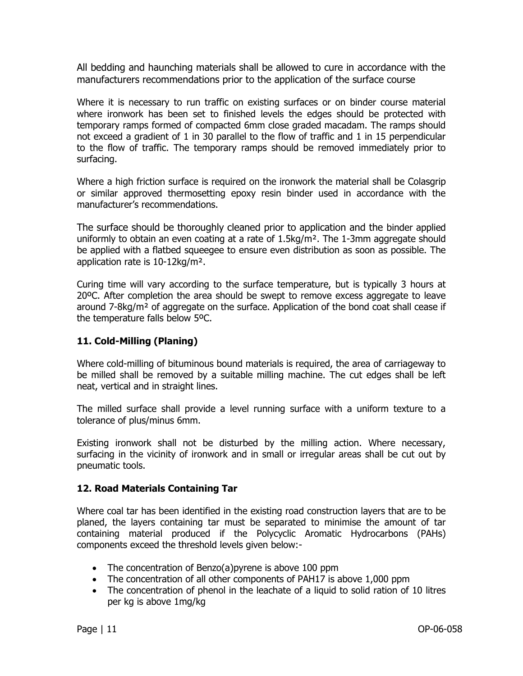All bedding and haunching materials shall be allowed to cure in accordance with the manufacturers recommendations prior to the application of the surface course

Where it is necessary to run traffic on existing surfaces or on binder course material where ironwork has been set to finished levels the edges should be protected with temporary ramps formed of compacted 6mm close graded macadam. The ramps should not exceed a gradient of 1 in 30 parallel to the flow of traffic and 1 in 15 perpendicular to the flow of traffic. The temporary ramps should be removed immediately prior to surfacing.

Where a high friction surface is required on the ironwork the material shall be Colasgrip or similar approved thermosetting epoxy resin binder used in accordance with the manufacturer's recommendations.

The surface should be thoroughly cleaned prior to application and the binder applied uniformly to obtain an even coating at a rate of  $1.5\text{kg/m}^2$ . The 1-3mm aggregate should be applied with a flatbed squeegee to ensure even distribution as soon as possible. The application rate is 10-12kg/m².

Curing time will vary according to the surface temperature, but is typically 3 hours at 20ºC. After completion the area should be swept to remove excess aggregate to leave around  $7-8\text{kg/m}^2$  of aggregate on the surface. Application of the bond coat shall cease if the temperature falls below 5ºC.

# <span id="page-10-0"></span>**11. Cold-Milling (Planing)**

Where cold-milling of bituminous bound materials is required, the area of carriageway to be milled shall be removed by a suitable milling machine. The cut edges shall be left neat, vertical and in straight lines.

The milled surface shall provide a level running surface with a uniform texture to a tolerance of plus/minus 6mm.

Existing ironwork shall not be disturbed by the milling action. Where necessary, surfacing in the vicinity of ironwork and in small or irregular areas shall be cut out by pneumatic tools.

# <span id="page-10-1"></span>**12. Road Materials Containing Tar**

Where coal tar has been identified in the existing road construction layers that are to be planed, the layers containing tar must be separated to minimise the amount of tar containing material produced if the Polycyclic Aromatic Hydrocarbons (PAHs) components exceed the threshold levels given below:-

- The concentration of Benzo(a) pyrene is above 100 ppm
- The concentration of all other components of PAH17 is above 1,000 ppm
- The concentration of phenol in the leachate of a liquid to solid ration of 10 litres per kg is above 1mg/kg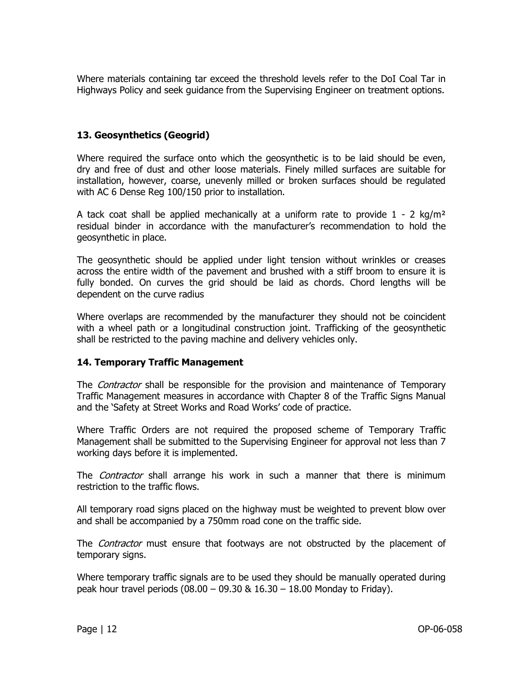Where materials containing tar exceed the threshold levels refer to the DoI Coal Tar in Highways Policy and seek guidance from the Supervising Engineer on treatment options.

# <span id="page-11-0"></span>**13. Geosynthetics (Geogrid)**

Where required the surface onto which the geosynthetic is to be laid should be even, dry and free of dust and other loose materials. Finely milled surfaces are suitable for installation, however, coarse, unevenly milled or broken surfaces should be regulated with AC 6 Dense Reg 100/150 prior to installation.

A tack coat shall be applied mechanically at a uniform rate to provide  $1 - 2$  kg/m<sup>2</sup> residual binder in accordance with the manufacturer's recommendation to hold the geosynthetic in place.

The geosynthetic should be applied under light tension without wrinkles or creases across the entire width of the pavement and brushed with a stiff broom to ensure it is fully bonded. On curves the grid should be laid as chords. Chord lengths will be dependent on the curve radius

Where overlaps are recommended by the manufacturer they should not be coincident with a wheel path or a longitudinal construction joint. Trafficking of the geosynthetic shall be restricted to the paving machine and delivery vehicles only.

# <span id="page-11-1"></span>**14. Temporary Traffic Management**

The *Contractor* shall be responsible for the provision and maintenance of Temporary Traffic Management measures in accordance with Chapter 8 of the Traffic Signs Manual and the 'Safety at Street Works and Road Works' code of practice.

Where Traffic Orders are not required the proposed scheme of Temporary Traffic Management shall be submitted to the Supervising Engineer for approval not less than 7 working days before it is implemented.

The *Contractor* shall arrange his work in such a manner that there is minimum restriction to the traffic flows.

All temporary road signs placed on the highway must be weighted to prevent blow over and shall be accompanied by a 750mm road cone on the traffic side.

The *Contractor* must ensure that footways are not obstructed by the placement of temporary signs.

Where temporary traffic signals are to be used they should be manually operated during peak hour travel periods (08.00 – 09.30 & 16.30 – 18.00 Monday to Friday).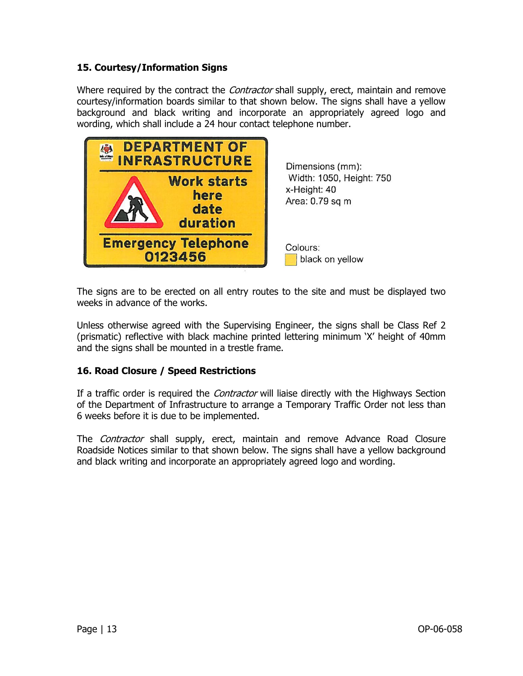# <span id="page-12-0"></span>**15. Courtesy/Information Signs**

Where required by the contract the *Contractor* shall supply, erect, maintain and remove courtesy/information boards similar to that shown below. The signs shall have a yellow background and black writing and incorporate an appropriately agreed logo and wording, which shall include a 24 hour contact telephone number.



The signs are to be erected on all entry routes to the site and must be displayed two weeks in advance of the works.

Unless otherwise agreed with the Supervising Engineer, the signs shall be Class Ref 2 (prismatic) reflective with black machine printed lettering minimum 'X' height of 40mm and the signs shall be mounted in a trestle frame.

# <span id="page-12-1"></span>**16. Road Closure / Speed Restrictions**

If a traffic order is required the *Contractor* will liaise directly with the Highways Section of the Department of Infrastructure to arrange a Temporary Traffic Order not less than 6 weeks before it is due to be implemented.

The *Contractor* shall supply, erect, maintain and remove Advance Road Closure Roadside Notices similar to that shown below. The signs shall have a yellow background and black writing and incorporate an appropriately agreed logo and wording.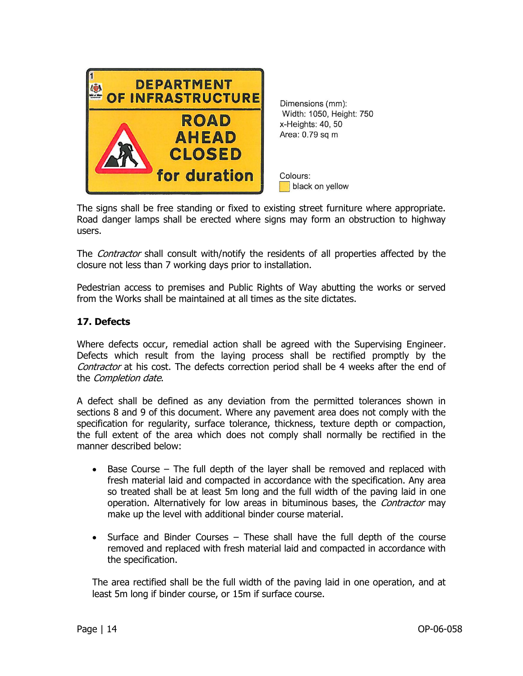

Dimensions (mm): Width: 1050, Height: 750 x-Heights: 40, 50 Area: 0.79 sq m

Colours: black on yellow

The signs shall be free standing or fixed to existing street furniture where appropriate. Road danger lamps shall be erected where signs may form an obstruction to highway users.

The *Contractor* shall consult with/notify the residents of all properties affected by the closure not less than 7 working days prior to installation.

Pedestrian access to premises and Public Rights of Way abutting the works or served from the Works shall be maintained at all times as the site dictates.

#### <span id="page-13-0"></span>**17. Defects**

Where defects occur, remedial action shall be agreed with the Supervising Engineer. Defects which result from the laying process shall be rectified promptly by the Contractor at his cost. The defects correction period shall be 4 weeks after the end of the *Completion date*.

A defect shall be defined as any deviation from the permitted tolerances shown in sections 8 and 9 of this document. Where any pavement area does not comply with the specification for regularity, surface tolerance, thickness, texture depth or compaction, the full extent of the area which does not comply shall normally be rectified in the manner described below:

- Base Course The full depth of the layer shall be removed and replaced with fresh material laid and compacted in accordance with the specification. Any area so treated shall be at least 5m long and the full width of the paving laid in one operation. Alternatively for low areas in bituminous bases, the *Contractor* may make up the level with additional binder course material.
- Surface and Binder Courses These shall have the full depth of the course removed and replaced with fresh material laid and compacted in accordance with the specification.

The area rectified shall be the full width of the paving laid in one operation, and at least 5m long if binder course, or 15m if surface course.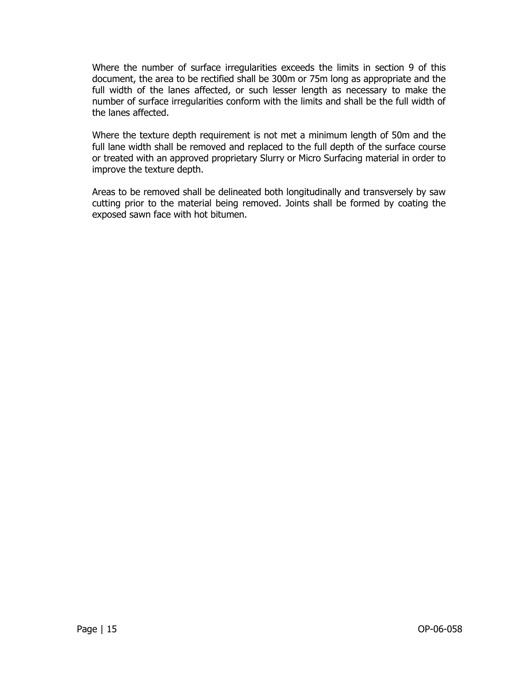Where the number of surface irregularities exceeds the limits in section 9 of this document, the area to be rectified shall be 300m or 75m long as appropriate and the full width of the lanes affected, or such lesser length as necessary to make the number of surface irregularities conform with the limits and shall be the full width of the lanes affected.

Where the texture depth requirement is not met a minimum length of 50m and the full lane width shall be removed and replaced to the full depth of the surface course or treated with an approved proprietary Slurry or Micro Surfacing material in order to improve the texture depth.

Areas to be removed shall be delineated both longitudinally and transversely by saw cutting prior to the material being removed. Joints shall be formed by coating the exposed sawn face with hot bitumen.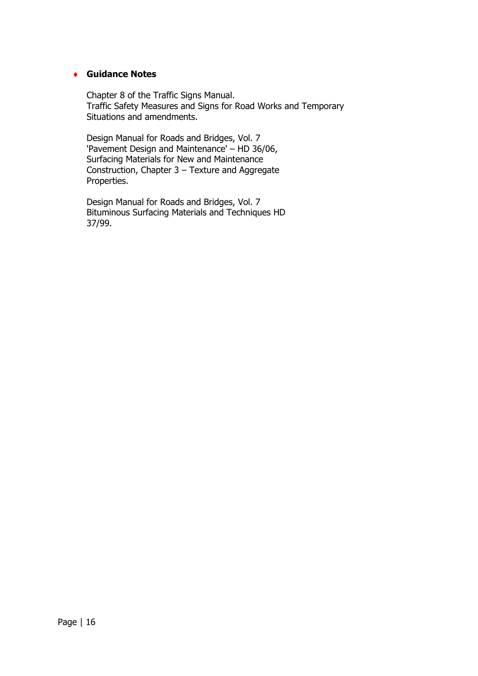#### **Guidance Notes**

Chapter 8 of the Traffic Signs Manual. Traffic Safety Measures and Signs for Road Works and Temporary Situations and amendments.

Design Manual for Roads and Bridges, Vol. 7 'Pavement Design and Maintenance' – HD 36/06, Surfacing Materials for New and Maintenance Construction, Chapter 3 – Texture and Aggregate Properties.

Design Manual for Roads and Bridges, Vol. 7 Bituminous Surfacing Materials and Techniques HD 37/99.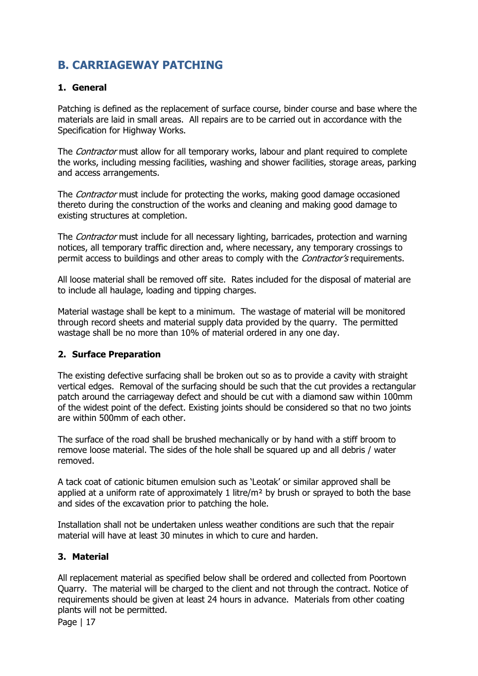# <span id="page-16-1"></span><span id="page-16-0"></span>**B. CARRIAGEWAY PATCHING**

# **1. General**

Patching is defined as the replacement of surface course, binder course and base where the materials are laid in small areas. All repairs are to be carried out in accordance with the Specification for Highway Works.

The *Contractor* must allow for all temporary works, labour and plant required to complete the works, including messing facilities, washing and shower facilities, storage areas, parking and access arrangements.

The *Contractor* must include for protecting the works, making good damage occasioned thereto during the construction of the works and cleaning and making good damage to existing structures at completion.

The *Contractor* must include for all necessary lighting, barricades, protection and warning notices, all temporary traffic direction and, where necessary, any temporary crossings to permit access to buildings and other areas to comply with the *Contractor's* requirements.

All loose material shall be removed off site. Rates included for the disposal of material are to include all haulage, loading and tipping charges.

<span id="page-16-2"></span>Material wastage shall be kept to a minimum. The wastage of material will be monitored through record sheets and material supply data provided by the quarry. The permitted wastage shall be no more than 10% of material ordered in any one day.

# **2. Surface Preparation**

The existing defective surfacing shall be broken out so as to provide a cavity with straight vertical edges. Removal of the surfacing should be such that the cut provides a rectangular patch around the carriageway defect and should be cut with a diamond saw within 100mm of the widest point of the defect. Existing joints should be considered so that no two joints are within 500mm of each other.

The surface of the road shall be brushed mechanically or by hand with a stiff broom to remove loose material. The sides of the hole shall be squared up and all debris / water removed.

A tack coat of cationic bitumen emulsion such as 'Leotak' or similar approved shall be applied at a uniform rate of approximately 1 litre/m<sup>2</sup> by brush or sprayed to both the base and sides of the excavation prior to patching the hole.

<span id="page-16-3"></span>Installation shall not be undertaken unless weather conditions are such that the repair material will have at least 30 minutes in which to cure and harden.

# **3. Material**

All replacement material as specified below shall be ordered and collected from Poortown Quarry. The material will be charged to the client and not through the contract. Notice of requirements should be given at least 24 hours in advance. Materials from other coating plants will not be permitted.

Page | 17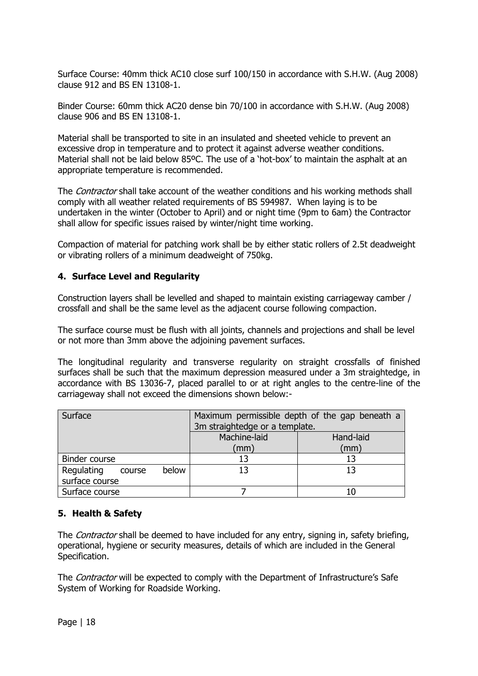Surface Course: 40mm thick AC10 close surf 100/150 in accordance with S.H.W. (Aug 2008) clause 912 and BS EN 13108-1.

Binder Course: 60mm thick AC20 dense bin 70/100 in accordance with S.H.W. (Aug 2008) clause 906 and BS EN 13108-1.

Material shall be transported to site in an insulated and sheeted vehicle to prevent an excessive drop in temperature and to protect it against adverse weather conditions. Material shall not be laid below 85°C. The use of a 'hot-box' to maintain the asphalt at an appropriate temperature is recommended.

The *Contractor* shall take account of the weather conditions and his working methods shall comply with all weather related requirements of BS 594987. When laying is to be undertaken in the winter (October to April) and or night time (9pm to 6am) the Contractor shall allow for specific issues raised by winter/night time working.

<span id="page-17-0"></span>Compaction of material for patching work shall be by either static rollers of 2.5t deadweight or vibrating rollers of a minimum deadweight of 750kg.

#### **4. Surface Level and Regularity**

Construction layers shall be levelled and shaped to maintain existing carriageway camber / crossfall and shall be the same level as the adjacent course following compaction.

The surface course must be flush with all joints, channels and projections and shall be level or not more than 3mm above the adjoining pavement surfaces.

The longitudinal regularity and transverse regularity on straight crossfalls of finished surfaces shall be such that the maximum depression measured under a 3m straightedge, in accordance with BS 13036-7, placed parallel to or at right angles to the centre-line of the carriageway shall not exceed the dimensions shown below:-

| Surface                       | Maximum permissible depth of the gap beneath a |           |
|-------------------------------|------------------------------------------------|-----------|
|                               | 3m straightedge or a template.                 |           |
|                               | Machine-laid                                   | Hand-laid |
|                               | (mm                                            | (mm)      |
| Binder course                 | 13                                             |           |
| Regulating<br>below<br>course | 13                                             | 13        |
| surface course                |                                                |           |
| Surface course                |                                                |           |

# <span id="page-17-1"></span>**5. Health & Safety**

The *Contractor* shall be deemed to have included for any entry, signing in, safety briefing, operational, hygiene or security measures, details of which are included in the General Specification.

The *Contractor* will be expected to comply with the Department of Infrastructure's Safe System of Working for Roadside Working.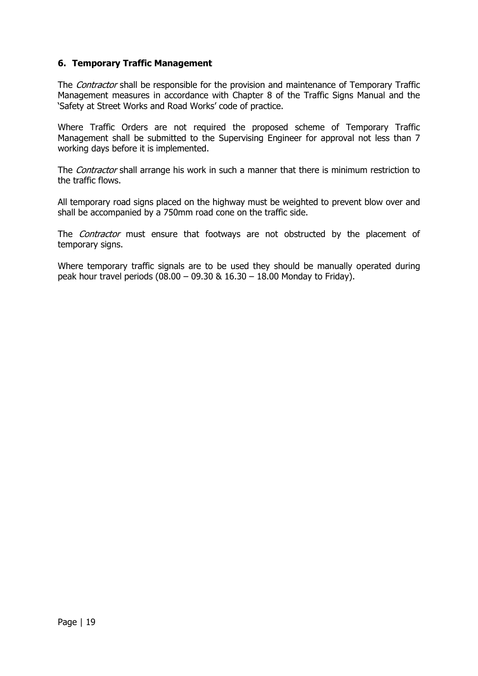## <span id="page-18-0"></span>**6. Temporary Traffic Management**

The *Contractor* shall be responsible for the provision and maintenance of Temporary Traffic Management measures in accordance with Chapter 8 of the Traffic Signs Manual and the 'Safety at Street Works and Road Works' code of practice.

Where Traffic Orders are not required the proposed scheme of Temporary Traffic Management shall be submitted to the Supervising Engineer for approval not less than 7 working days before it is implemented.

The Contractor shall arrange his work in such a manner that there is minimum restriction to the traffic flows.

All temporary road signs placed on the highway must be weighted to prevent blow over and shall be accompanied by a 750mm road cone on the traffic side.

The *Contractor* must ensure that footways are not obstructed by the placement of temporary signs.

Where temporary traffic signals are to be used they should be manually operated during peak hour travel periods  $(08.00 - 09.30 \& 16.30 - 18.00$  Monday to Friday).